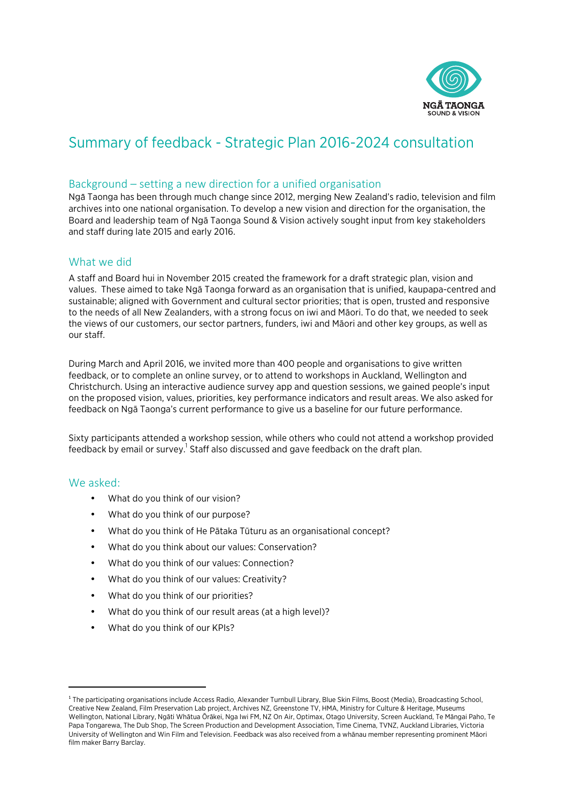

# Summary of feedback - Strategic Plan 2016-2024 consultation

## Background  $-$  setting a new direction for a unified organisation

NgāTaonga has been through much change since 2012, merging New Zealand's radio, television and film archives into one national organisation. To develop a new vision and direction for the organisation, the Board and leadership team of Ngā Taonga Sound & Vision actively sought input from key stakeholders and staff during late 2015 and early 2016.

### What we did

A staff and Board hui in November 2015 created the framework for a draft strategic plan, vision and values. These aimed to take Ngā Taonga forward as an organisation that is unified, kaupapa-centred and sustainable; aligned with Government and cultural sector priorities; that is open, trusted and responsive to the needs of all New Zealanders, with a strong focus on iwi and Māori. To do that, we needed to seek the views of our customers, our sector partners, funders, iwi and Māori and other key groups, as well as our staff.

During March and April 2016, we invited more than 400 people and organisations to give written feedback, or to complete an online survey, or to attend to workshops in Auckland, Wellington and Christchurch. Using an interactive audience survey app and question sessions, we gained people's input on the proposed vision, values, priorities, key performance indicators and result areas. We also asked for feedback on Ngā Taonga's current performance to give us a baseline for our future performance.

Sixty participants attended a workshop session, while others who could not attend a workshop provided feedback by email or survey.<sup>1</sup> Staff also discussed and gave feedback on the draft plan.

### We asked:

- What do you think of our vision?
- What do you think of our purpose?
- What do you think of He Pātaka Tūturu as an organisational concept?
- What do you think about our values: Conservation?
- What do you think of our values: Connection?
- What do you think of our values: Creativity?
- What do you think of our priorities?
- What do you think of our result areas (at a high level)?
- What do you think of our KPIs?

 

<sup>&</sup>lt;sup>1</sup> The participating organisations include Access Radio, Alexander Turnbull Library, Blue Skin Films, Boost (Media), Broadcasting School, Creative New Zealand, Film Preservation Lab project, Archives NZ, Greenstone TV, HMA, Ministry for Culture & Heritage, Museums Wellington, National Library, Ngāti Whātua Ōrākei, Nga Iwi FM, NZ On Air, Optimax, Otago University, Screen Auckland, Te Māngai Paho, Te Papa Tongarewa, The Dub Shop, The Screen Production and Development Association, Time Cinema, TVNZ, Auckland Libraries, Victoria University of Wellington and Win Film and Television. Feedback was also received from a whānau member representing prominent Māori film maker Barry Barclay.